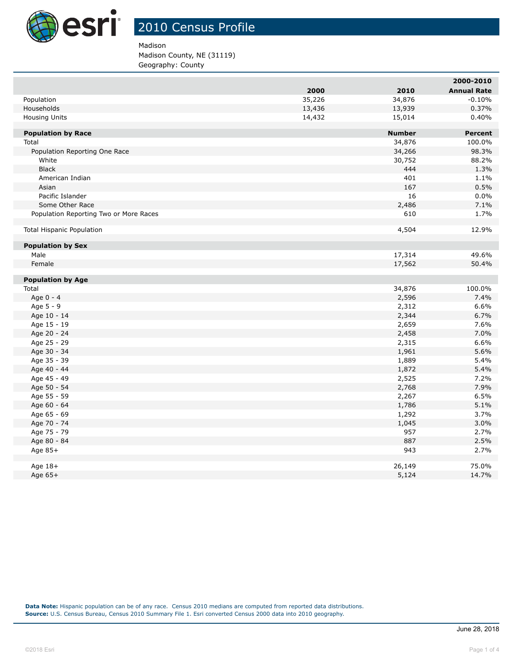

Madison

## Madison County, NE (31119)

Geography: County

|                                        |        |               | ZUUU-ZUIU          |
|----------------------------------------|--------|---------------|--------------------|
|                                        | 2000   | 2010          | <b>Annual Rate</b> |
| Population                             | 35,226 | 34,876        | $-0.10%$           |
| Households                             | 13,436 | 13,939        | 0.37%              |
| <b>Housing Units</b>                   | 14,432 | 15,014        | 0.40%              |
|                                        |        |               |                    |
| <b>Population by Race</b>              |        | <b>Number</b> | <b>Percent</b>     |
| Total                                  |        | 34,876        | 100.0%             |
| Population Reporting One Race<br>White |        | 34,266        | 98.3%<br>88.2%     |
| <b>Black</b>                           |        | 30,752<br>444 |                    |
|                                        |        | 401           | 1.3%               |
| American Indian<br>Asian               |        | 167           | 1.1%<br>0.5%       |
| Pacific Islander                       |        | 16            |                    |
| Some Other Race                        |        |               | 0.0%<br>7.1%       |
| Population Reporting Two or More Races |        | 2,486<br>610  | 1.7%               |
|                                        |        |               |                    |
| <b>Total Hispanic Population</b>       |        | 4,504         | 12.9%              |
|                                        |        |               |                    |
| <b>Population by Sex</b>               |        |               |                    |
| Male                                   |        | 17,314        | 49.6%              |
| Female                                 |        | 17,562        | 50.4%              |
|                                        |        |               |                    |
| <b>Population by Age</b>               |        |               |                    |
| Total                                  |        | 34,876        | 100.0%             |
| Age 0 - 4                              |        | 2,596         | 7.4%               |
| Age 5 - 9                              |        | 2,312         | 6.6%               |
| Age 10 - 14                            |        | 2,344         | 6.7%               |
| Age 15 - 19                            |        | 2,659         | 7.6%               |
| Age 20 - 24                            |        | 2,458         | 7.0%               |
| Age 25 - 29                            |        | 2,315         | 6.6%               |
| Age 30 - 34                            |        | 1,961         | 5.6%               |
| Age 35 - 39                            |        | 1,889         | 5.4%               |
| Age 40 - 44                            |        | 1,872         | 5.4%               |
| Age 45 - 49                            |        | 2,525         | 7.2%               |
| Age 50 - 54                            |        | 2,768         | 7.9%               |
| Age 55 - 59                            |        | 2,267         | 6.5%               |
| Age 60 - 64                            |        | 1,786         | 5.1%               |
| Age 65 - 69                            |        | 1,292         | 3.7%               |
| Age 70 - 74                            |        | 1,045         | 3.0%               |
| Age 75 - 79                            |        | 957           | 2.7%               |
| Age 80 - 84                            |        | 887           | 2.5%               |
| Age 85+                                |        | 943           | 2.7%               |
| Age 18+                                |        | 26,149        | 75.0%              |
| Age 65+                                |        | 5,124         | 14.7%              |
|                                        |        |               |                    |

**Data Note:** Hispanic population can be of any race. Census 2010 medians are computed from reported data distributions. **Source:** U.S. Census Bureau, Census 2010 Summary File 1. Esri converted Census 2000 data into 2010 geography.

**2000-2010**

I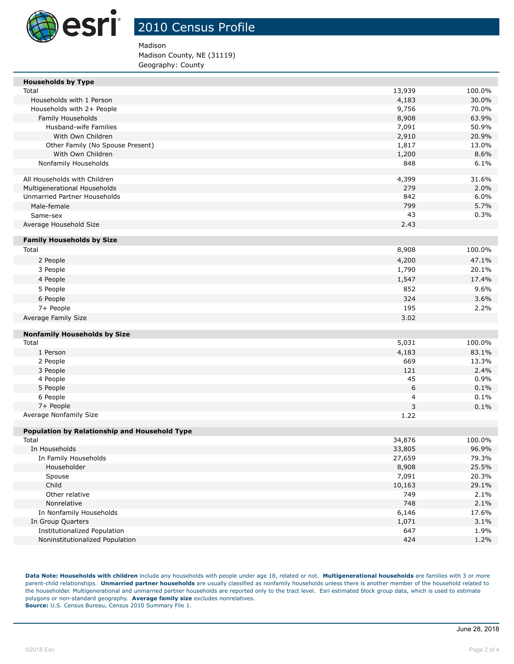

Madison

Madison County, NE (31119) Geography: County

| <b>Households by Type</b>                     |        |        |
|-----------------------------------------------|--------|--------|
| Total                                         | 13,939 | 100.0% |
| Households with 1 Person                      | 4,183  | 30.0%  |
| Households with 2+ People                     | 9,756  | 70.0%  |
| Family Households                             | 8,908  | 63.9%  |
| Husband-wife Families                         | 7,091  | 50.9%  |
| With Own Children                             | 2,910  | 20.9%  |
| Other Family (No Spouse Present)              | 1,817  | 13.0%  |
| With Own Children                             | 1,200  | 8.6%   |
| Nonfamily Households                          | 848    | 6.1%   |
|                                               |        |        |
| All Households with Children                  | 4,399  | 31.6%  |
| Multigenerational Households                  | 279    | 2.0%   |
| Unmarried Partner Households                  | 842    | 6.0%   |
| Male-female                                   | 799    | 5.7%   |
| Same-sex                                      | 43     | 0.3%   |
| Average Household Size                        | 2.43   |        |
|                                               |        |        |
| <b>Family Households by Size</b>              |        |        |
| Total                                         | 8,908  | 100.0% |
| 2 People                                      | 4,200  | 47.1%  |
| 3 People                                      | 1,790  | 20.1%  |
| 4 People                                      | 1,547  | 17.4%  |
| 5 People                                      | 852    | 9.6%   |
| 6 People                                      | 324    | 3.6%   |
| 7+ People                                     | 195    | 2.2%   |
| Average Family Size                           | 3.02   |        |
|                                               |        |        |
| <b>Nonfamily Households by Size</b>           |        |        |
| Total                                         | 5,031  | 100.0% |
| 1 Person                                      | 4,183  | 83.1%  |
| 2 People                                      | 669    | 13.3%  |
| 3 People                                      | 121    | 2.4%   |
| 4 People                                      | 45     | 0.9%   |
| 5 People                                      | 6      | 0.1%   |
| 6 People                                      | 4      | 0.1%   |
| 7+ People                                     | 3      | 0.1%   |
| Average Nonfamily Size                        | 1.22   |        |
|                                               |        |        |
| Population by Relationship and Household Type |        |        |
| Total                                         | 34,876 | 100.0% |
| In Households                                 | 33,805 | 96.9%  |
| In Family Households                          | 27,659 | 79.3%  |
| Householder                                   | 8,908  | 25.5%  |
| Spouse                                        | 7,091  | 20.3%  |
| Child                                         | 10,163 | 29.1%  |
| Other relative                                | 749    | 2.1%   |
| Nonrelative                                   | 748    | 2.1%   |
| In Nonfamily Households                       | 6,146  | 17.6%  |
| In Group Quarters                             | 1,071  | 3.1%   |
| Institutionalized Population                  | 647    | 1.9%   |
| Noninstitutionalized Population               | 424    | 1.2%   |
|                                               |        |        |

**Data Note: Households with children** include any households with people under age 18, related or not. **Multigenerational households** are families with 3 or more parent-child relationships. **Unmarried partner households** are usually classified as nonfamily households unless there is another member of the household related to the householder. Multigenerational and unmarried partner households are reported only to the tract level. Esri estimated block group data, which is used to estimate polygons or non-standard geography. **Average family size** excludes nonrelatives. **Source:** U.S. Census Bureau, Census 2010 Summary File 1.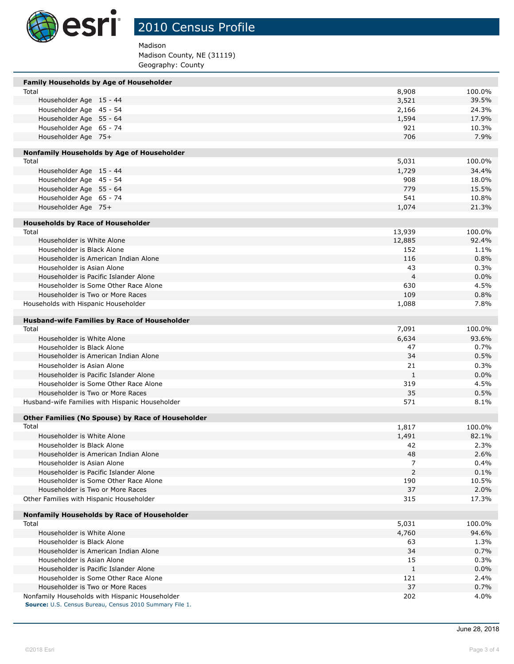

Madison

Madison County, NE (31119) Geography: County

| Family Households by Age of Householder                                                                   |                |        |
|-----------------------------------------------------------------------------------------------------------|----------------|--------|
| Total                                                                                                     | 8,908          | 100.0% |
| Householder Age 15 - 44                                                                                   | 3,521          | 39.5%  |
| Householder Age 45 - 54                                                                                   | 2,166          | 24.3%  |
| Householder Age 55 - 64                                                                                   | 1,594          | 17.9%  |
| Householder Age 65 - 74                                                                                   | 921            | 10.3%  |
| Householder Age 75+                                                                                       | 706            | 7.9%   |
| Nonfamily Households by Age of Householder                                                                |                |        |
| Total                                                                                                     | 5,031          | 100.0% |
| Householder Age 15 - 44                                                                                   | 1,729          | 34.4%  |
| Householder Age 45 - 54                                                                                   | 908            | 18.0%  |
| Householder Age 55 - 64                                                                                   | 779            | 15.5%  |
| Householder Age 65 - 74                                                                                   | 541            | 10.8%  |
| Householder Age 75+                                                                                       | 1,074          | 21.3%  |
|                                                                                                           |                |        |
| <b>Households by Race of Householder</b><br>Total                                                         | 13,939         | 100.0% |
| Householder is White Alone                                                                                | 12,885         | 92.4%  |
| Householder is Black Alone                                                                                | 152            | 1.1%   |
| Householder is American Indian Alone                                                                      | 116            | 0.8%   |
| Householder is Asian Alone                                                                                | 43             | 0.3%   |
| Householder is Pacific Islander Alone                                                                     | $\overline{4}$ | 0.0%   |
| Householder is Some Other Race Alone                                                                      | 630            | 4.5%   |
| Householder is Two or More Races                                                                          | 109            | 0.8%   |
|                                                                                                           | 1,088          | 7.8%   |
| Households with Hispanic Householder                                                                      |                |        |
| Husband-wife Families by Race of Householder                                                              |                |        |
| Total                                                                                                     | 7,091          | 100.0% |
| Householder is White Alone                                                                                | 6,634          | 93.6%  |
| Householder is Black Alone                                                                                | 47             | 0.7%   |
| Householder is American Indian Alone                                                                      | 34             | 0.5%   |
| Householder is Asian Alone                                                                                | 21             | 0.3%   |
| Householder is Pacific Islander Alone                                                                     | 1              | 0.0%   |
| Householder is Some Other Race Alone                                                                      | 319            | 4.5%   |
| Householder is Two or More Races                                                                          | 35             | 0.5%   |
| Husband-wife Families with Hispanic Householder                                                           | 571            | 8.1%   |
|                                                                                                           |                |        |
| Other Families (No Spouse) by Race of Householder<br>Total                                                | 1,817          | 100.0% |
| Householder is White Alone                                                                                | 1,491          | 82.1%  |
| Householder is Black Alone                                                                                | 42             | 2.3%   |
| Householder is American Indian Alone                                                                      | 48             | 2.6%   |
| Householder is Asian Alone                                                                                | 7              | 0.4%   |
| Householder is Pacific Islander Alone                                                                     | $\overline{2}$ | 0.1%   |
| Householder is Some Other Race Alone                                                                      | 190            | 10.5%  |
| Householder is Two or More Races                                                                          | 37             | 2.0%   |
| Other Families with Hispanic Householder                                                                  | 315            | 17.3%  |
|                                                                                                           |                |        |
| Nonfamily Households by Race of Householder                                                               |                |        |
| Total                                                                                                     | 5,031          | 100.0% |
| Householder is White Alone                                                                                | 4,760          | 94.6%  |
| Householder is Black Alone                                                                                | 63             | 1.3%   |
| Householder is American Indian Alone                                                                      | 34             | 0.7%   |
| Householder is Asian Alone                                                                                | 15             | 0.3%   |
| Householder is Pacific Islander Alone                                                                     | $\mathbf{1}$   | 0.0%   |
| Householder is Some Other Race Alone                                                                      | 121            | 2.4%   |
| Householder is Two or More Races                                                                          | 37             | 0.7%   |
| Nonfamily Households with Hispanic Householder<br>Source: U.S. Census Bureau, Census 2010 Summary File 1. | 202            | 4.0%   |